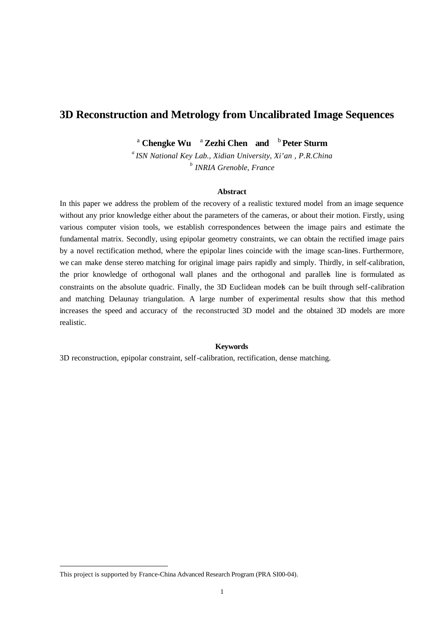# **3D Reconstruction and Metrology from Uncalibrated Image Sequences**

<sup>a</sup> **Chengke Wu**  <sup>a</sup>**Zezhi Chen and** <sup>b</sup>**Peter Sturm**

*<sup>a</sup>ISN National Key Lab., Xidian University, Xi'an , P.R.China b INRIA Grenoble, France*

#### **Abstract**

In this paper we address the problem of the recovery of a realistic textured model from an image sequence without any prior knowledge either about the parameters of the cameras, or about their motion. Firstly, using various computer vision tools, we establish correspondences between the image pairs and estimate the fundamental matrix. Secondly, using epipolar geometry constraints, we can obtain the rectified image pairs by a novel rectification method, where the epipolar lines coincide with the image scan-lines. Furthermore, we can make dense stereo matching for original image pairs rapidly and simply. Thirdly, in self-calibration, the prior knowledge of orthogonal wall planes and the orthogonal and parallels line is formulated as constraints on the absolute quadric. Finally, the 3D Euclidean models can be built through self-calibration and matching Delaunay triangulation. A large number of experimental results show that this method increases the speed and accuracy of the reconstructed 3D model and the obtained 3D models are more realistic.

## **Keywords**

3D reconstruction, epipolar constraint, self-calibration, rectification, dense matching.

 $\overline{a}$ 

This project is supported by France-China Advanced Research Program (PRA SI00-04).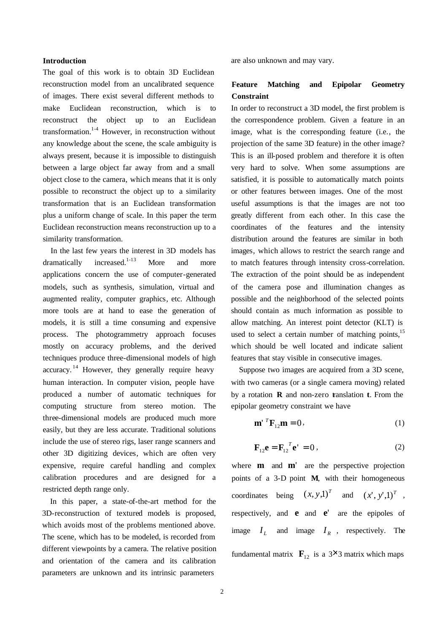#### **Introduction**

The goal of this work is to obtain 3D Euclidean reconstruction model from an uncalibrated sequence of images. There exist several different methods to make Euclidean reconstruction, which is to reconstruct the object up to an Euclidean transformation.<sup>1-4</sup> However, in reconstruction without any knowledge about the scene, the scale ambiguity is always present, because it is impossible to distinguish between a large object far away from and a small object close to the camera, which means that it is only possible to reconstruct the object up to a similarity transformation that is an Euclidean transformation plus a uniform change of scale. In this paper the term Euclidean reconstruction means reconstruction up to a similarity transformation.

In the last few years the interest in 3D models has  $d$ ramatically increased.<sup>1-13</sup> More and more applications concern the use of computer-generated models, such as synthesis, simulation, virtual and augmented reality, computer graphics, etc. Although more tools are at hand to ease the generation of models, it is still a time consuming and expensive process. The photogrammetry approach focuses mostly on accuracy problems, and the derived techniques produce three-dimensional models of high accuracy.<sup>14</sup> However, they generally require heavy human interaction. In computer vision, people have produced a number of automatic techniques for computing structure from stereo motion. The three-dimensional models are produced much more easily, but they are less accurate. Traditional solutions include the use of stereo rigs, laser range scanners and other 3D digitizing devices, which are often very expensive, require careful handling and complex calibration procedures and are designed for a restricted depth range only.

In this paper, a state-of-the-art method for the 3D-reconstruction of textured models is proposed, which avoids most of the problems mentioned above. The scene, which has to be modeled, is recorded from different viewpoints by a camera. The relative position and orientation of the camera and its calibration parameters are unknown and its intrinsic parameters

are also unknown and may vary.

# **Feature Matching and Epipolar Geometry Constraint**

In order to reconstruct a 3D model, the first problem is the correspondence problem. Given a feature in an image, what is the corresponding feature (i.e., the projection of the same 3D feature) in the other image? This is an ill-posed problem and therefore it is often very hard to solve. When some assumptions are satisfied, it is possible to automatically match points or other features between images. One of the most useful assumptions is that the images are not too greatly different from each other. In this case the coordinates of the features and the intensity distribution around the features are similar in both images, which allows to restrict the search range and to match features through intensity cross-correlation. The extraction of the point should be as independent of the camera pose and illumination changes as possible and the neighborhood of the selected points should contain as much information as possible to allow matching. An interest point detector (KLT) is used to select a certain number of matching points,<sup>15</sup> which should be well located and indicate salient features that stay visible in consecutive images.

Suppose two images are acquired from a 3D scene, with two cameras (or a single camera moving) related by a rotation **R** and non-zero translation **t**. From the epipolar geometry constraint we have

$$
\mathbf{m'}^{T}\mathbf{F}_{12}\mathbf{m} = 0, \qquad (1)
$$

$$
\mathbf{F}_{12}\mathbf{e} = \mathbf{F}_{12}^T \mathbf{e}' = 0, \qquad (2)
$$

where **m** and **m**<sup>'</sup> are the perspective projection points of a 3-D point **M**, with their homogeneous coordinates being  $(x, y, 1)^T$  and  $(x', y', 1)^T$ , respectively, and **e** and **e**' are the epipoles of image  $I_L$  and image  $I_R$ , respectively. The fundamental matrix  $\mathbf{F}_{12}$  is a 3×3 matrix which maps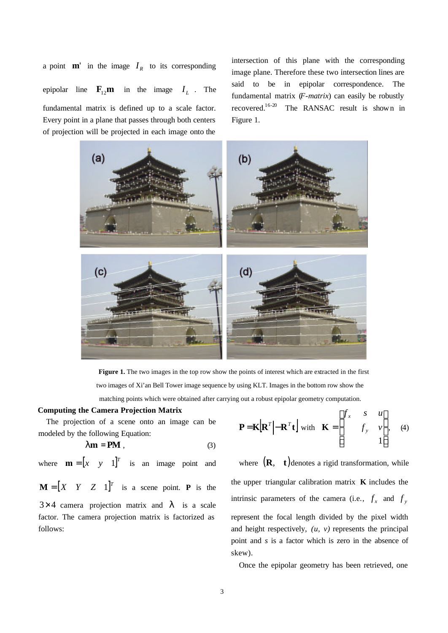a point  $\mathbf{m}'$  in the image  $I_R$  to its corresponding epipolar line  $\mathbf{F}_{12}$ **m** in the image  $I_L$ . The fundamental matrix is defined up to a scale factor. Every point in a plane that passes through both centers of projection will be projected in each image onto the

intersection of this plane with the corresponding image plane. Therefore these two intersection lines are said to be in epipolar correspondence. The fundamental matrix (*F-matrix*) can easily be robustly recovered.16-20 The RANSAC result is shown in Figure 1.





#### **Computing the Camera Projection Matrix**

The projection of a scene onto an image can be modeled by the following Equation:

$$
Im = PM , \t(3)
$$

where  $\mathbf{m} = \begin{bmatrix} x & y & 1 \end{bmatrix}^T$  is an image point and

 $\mathbf{M} = \begin{bmatrix} X & Y & Z & 1 \end{bmatrix}^T$  is a scene point. **P** is the  $3\times4$  camera projection matrix and *l* is a scale factor. The camera projection matrix is factorized as follows:

$$
\mathbf{P} = \mathbf{K} \left[ \mathbf{R}^T \middle| - \mathbf{R}^T \mathbf{t} \right] \text{ with } \mathbf{K} = \begin{bmatrix} f_x & s & u \\ & f_y & v \\ & & 1 \end{bmatrix}, \quad (4)
$$

where  $(R, t)$  denotes a rigid transformation, while the upper triangular calibration matrix **K** includes the intrinsic parameters of the camera (i.e.,  $f_x$  and  $f_y$ represent the focal length divided by the pixel width and height respectively, *(u, v)* represents the principal point and *s* is a factor which is zero in the absence of skew).

Once the epipolar geometry has been retrieved, one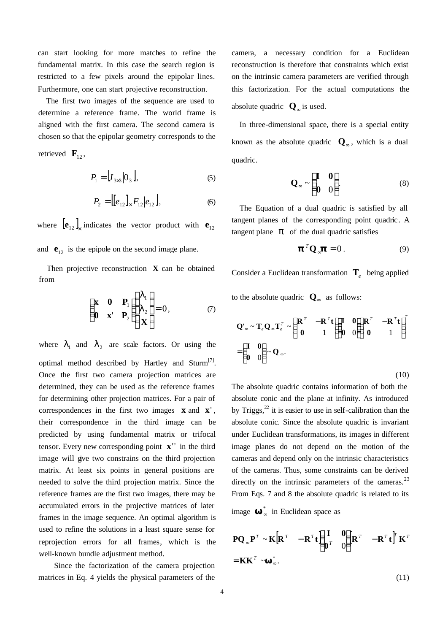can start looking for more matches to refine the fundamental matrix. In this case the search region is restricted to a few pixels around the epipolar lines. Furthermore, one can start projective reconstruction.

The first two images of the sequence are used to determine a reference frame. The world frame is aligned with the first camera. The second camera is chosen so that the epipolar geometry corresponds to the

retrieved  $\mathbf{F}_{12}$ ,

$$
P_1 = [I_{3\times 3} | 0_3], \tag{5}
$$

$$
P_2 = [[e_{12}]_{\times} F_{12}]e_{12}], \tag{6}
$$

where  $\begin{bmatrix} \mathbf{e}_{12} \end{bmatrix}_{\times}$  indicates the vector product with  $\mathbf{e}_{12}$ and  $\mathbf{e}_{12}$  is the epipole on the second image plane.

Then projective reconstruction **X** can be obtained from

$$
\begin{pmatrix} \mathbf{x} & \mathbf{0} & \mathbf{P}_1 \\ \mathbf{0} & \mathbf{x}^{\prime} & \mathbf{P}_2 \end{pmatrix} \begin{pmatrix} \mathbf{l}_1 \\ \mathbf{l}_2 \\ \mathbf{X} \end{pmatrix} = 0, \qquad (7)
$$

where  $I_1$  and  $I_2$  are scale factors. Or using the optimal method described by Hartley and Sturm $^{[7]}$ . Once the first two camera projection matrices are determined, they can be used as the reference frames for determining other projection matrices. For a pair of correspondences in the first two images **x** and **x**' , their correspondence in the third image can be predicted by using fundamental matrix or trifocal tensor. Every new corresponding point **x**'' in the third image will give two constrains on the third projection matrix. At least six points in general positions are needed to solve the third projection matrix. Since the reference frames are the first two images, there may be accumulated errors in the projective matrices of later frames in the image sequence. An optimal algorithm is used to refine the solutions in a least square sense for reprojection errors for all frames, which is the well-known bundle adjustment method.

Since the factorization of the camera projection matrices in Eq. 4 yields the physical parameters of the camera, a necessary condition for a Euclidean reconstruction is therefore that constraints which exist on the intrinsic camera parameters are verified through this factorization. For the actual computations the absolute quadric  $\mathbf{Q}_{\infty}$  is used.

In three-dimensional space, there is a special entity known as the absolute quadric  $Q_{\infty}$ , which is a dual quadric.

$$
\mathbf{Q}_{\infty} \sim \begin{pmatrix} \mathbf{I} & \mathbf{0} \\ \mathbf{0} & 0 \end{pmatrix} . \tag{8}
$$

The Equation of a dual quadric is satisfied by all tangent planes of the corresponding point quadric. A tangent plane  $\boldsymbol{p}$  of the dual quadric satisfies

$$
{}^{T}\mathbf{Q}_{\infty} = 0. \tag{9}
$$

Consider a Euclidean transformation **T***<sup>e</sup>* being applied

to the absolute quadric  $\mathbf{Q}_{\infty}$  as follows:

$$
\mathbf{Q}'_{\infty} \sim \mathbf{T}_e \mathbf{Q}_{\infty} \mathbf{T}_e^T \sim \begin{pmatrix} \mathbf{R}^T & -\mathbf{R}^T \mathbf{t} \\ \mathbf{0} & 1 \end{pmatrix} \begin{pmatrix} \mathbf{I} & \mathbf{0} \\ \mathbf{0} & 0 \end{pmatrix} \begin{pmatrix} \mathbf{R}^T & -\mathbf{R}^T \mathbf{t} \\ \mathbf{0} & 1 \end{pmatrix}^T
$$

$$
= \begin{pmatrix} \mathbf{I} & \mathbf{0} \\ \mathbf{0} & 0 \end{pmatrix} \sim \mathbf{Q}_{\infty}.
$$
(10)

The absolute quadric contains information of both the absolute conic and the plane at infinity. As introduced by Triggs, $^{22}$  it is easier to use in self-calibration than the absolute conic. Since the absolute quadric is invariant under Euclidean transformations, its images in different image planes do not depend on the motion of the cameras and depend only on the intrinsic characteristics of the cameras. Thus, some constraints can be derived directly on the intrinsic parameters of the cameras. $^{23}$ From Eqs. 7 and 8 the absolute quadric is related to its image ∞ in Euclidean space as

$$
\mathbf{PQ}_{\infty} \mathbf{P}^T \sim \mathbf{K} \Big[ \mathbf{R}^T - \mathbf{R}^T \mathbf{t} \Big] \begin{pmatrix} \mathbf{I} & \mathbf{0} \\ \mathbf{0}^T & 0 \end{pmatrix} \Big[ \mathbf{R}^T - \mathbf{R}^T \mathbf{t} \Big]^T \mathbf{K}^T
$$
  
=  $\mathbf{K} \mathbf{K}^T \sim \mathbf{L}.$  (11)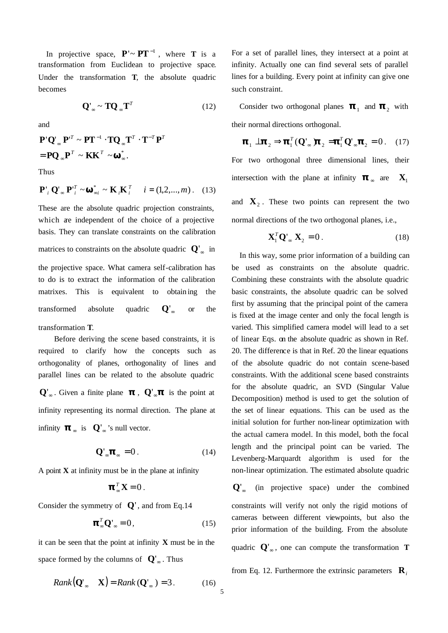In projective space,  $P' \sim PT^{-1}$ , where **T** is a transformation from Euclidean to projective space. Under the transformation **T**, the absolute quadric becomes

$$
\mathbf{Q}'_{\infty} \sim \mathbf{T} \mathbf{Q}_{\infty} \mathbf{T}^T \tag{12}
$$

and

$$
\mathbf{P}'\mathbf{Q}'_{\infty}\mathbf{P}^{T} \sim \mathbf{P}\mathbf{T}^{-1}\cdot\mathbf{T}\mathbf{Q}_{\infty}\mathbf{T}^{T}\cdot\mathbf{T}^{-T}\mathbf{P}^{T}
$$

$$
= \mathbf{P}\mathbf{Q}_{\infty}\mathbf{P}^{T} \sim \mathbf{KK}^{T} \sim \text{``}^{\circ}.
$$

Thus

$$
\mathbf{P}'_i \mathbf{Q}'_{\infty} \mathbf{P}'^T_i \sim \begin{array}{c} * \\ *i \end{array} \sim \mathbf{K}_i \mathbf{K}_i^T \quad i = (1, 2, ..., m). \quad (13)
$$

These are the absolute quadric projection constraints, which are independent of the choice of a projective basis. They can translate constraints on the calibration matrices to constraints on the absolute quadric  $Q'_{\infty}$  in the projective space. What camera self-calibration has to do is to extract the information of the calibration matrixes. This is equivalent to obtain ing the transformed absolute quadric  $Q'_{\infty}$  or the transformation **T**.

Before deriving the scene based constraints, it is required to clarify how the concepts such as orthogonality of planes, orthogonality of lines and parallel lines can be related to the absolute quadric  $Q'_{\infty}$ . Given a finite plane ,  $Q'_{\infty}$  is the point at infinity representing its normal direction. The plane at infinity  $\alpha$  is  $Q'_{\alpha}$ 's null vector.

$$
\mathbf{Q}'_{\infty} \quad \simeq 0. \tag{14}
$$

A point  $X$  at infinity must be in the plane at infinity

$$
_{\infty}^{T}\mathbf{X}=0.
$$

Consider the symmetry of **Q**' , and from Eq.14

$$
\mathbf{L}^T \mathbf{Q}'_{\infty} = 0, \tag{15}
$$

5

it can be seen that the point at infinity **X** must be in the space formed by the columns of  $Q'_{\infty}$ . Thus

$$
Rank(\mathbf{Q}'_{\infty} \quad \mathbf{X}) = Rank(\mathbf{Q}'_{\infty}) = 3. \tag{16}
$$

For a set of parallel lines, they intersect at a point at infinity. Actually one can find several sets of parallel lines for a building. Every point at infinity can give one such constraint.

Consider two orthogonal planes and  $_2$  with their normal directions orthogonal.

$$
_{1} \perp \quad _{2} \Rightarrow \quad _{1}^{T}(\mathbf{Q}'_{\infty}) \quad _{2} = \quad _{1}^{T}\mathbf{Q}'_{\infty} \quad _{2} = 0 \tag{17}
$$

For two orthogonal three dimensional lines, their intersection with the plane at infinity  $\alpha$  are **X**<sub>1</sub>

and  $\mathbf{X}_2$ . These two points can represent the two normal directions of the two orthogonal planes, i.e.,

$$
\mathbf{X}_1^T \mathbf{Q}'_{\infty} \mathbf{X}_2 = 0. \tag{18}
$$

In this way, some prior information of a building can be used as constraints on the absolute quadric. Combining these constraints with the absolute quadric basic constraints, the absolute quadric can be solved first by assuming that the principal point of the camera is fixed at the image center and only the focal length is varied. This simplified camera model will lead to a set of linear Eqs. on the absolute quadric as shown in Ref. 20. The difference is that in Ref. 20 the linear equations of the absolute quadric do not contain scene-based constraints. With the additional scene based constraints for the absolute quadric, an SVD (Singular Value Decomposition) method is used to get the solution of the set of linear equations. This can be used as the initial solution for further non-linear optimization with the actual camera model. In this model, both the focal length and the principal point can be varied. The Levenberg-Marquardt algorithm is used for the non-linear optimization. The estimated absolute quadric

Q'<sub>∞</sub> (in projective space) under the combined constraints will verify not only the rigid motions of cameras between different viewpoints, but also the prior information of the building. From the absolute quadric  $Q'_{\infty}$ , one can compute the transformation **T** 

from Eq. 12. Furthermore the extrinsic parameters  $\mathbf{R}_i$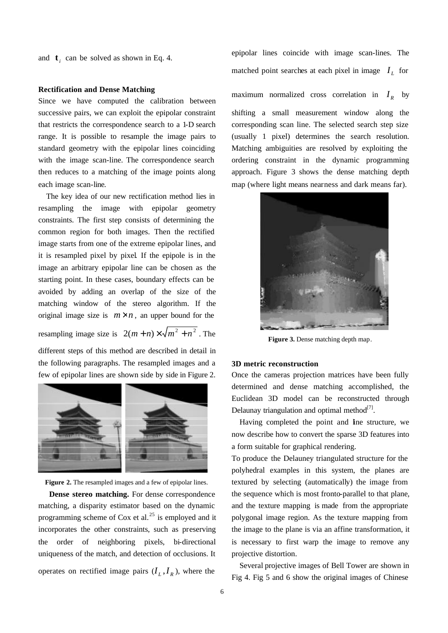and  $\mathbf{t}_i$  can be solved as shown in Eq. 4.

#### **Rectification and Dense Matching**

Since we have computed the calibration between successive pairs, we can exploit the epipolar constraint that restricts the correspondence search to a 1-D search range. It is possible to resample the image pairs to standard geometry with the epipolar lines coinciding with the image scan-line. The correspondence search then reduces to a matching of the image points along each image scan-line.

The key idea of our new rectification method lies in resampling the image with epipolar geometry constraints. The first step consists of determining the common region for both images. Then the rectified image starts from one of the extreme epipolar lines, and it is resampled pixel by pixel. If the epipole is in the image an arbitrary epipolar line can be chosen as the starting point. In these cases, boundary effects can be avoided by adding an overlap of the size of the matching window of the stereo algorithm. If the original image size is  $m \times n$ , an upper bound for the resampling image size is  $2(m+n) \times \sqrt{m^2 + n^2}$ . The

different steps of this method are described in detail in the following paragraphs. The resampled images and a few of epipolar lines are shown side by side in Figure 2.





 **Dense stereo matching.** For dense correspondence matching, a disparity estimator based on the dynamic programming scheme of Cox et al.<sup>25</sup> is employed and it incorporates the other constraints, such as preserving the order of neighboring pixels, bi-directional uniqueness of the match, and detection of occlusions. It operates on rectified image pairs  $(I_L, I_R)$ , where the epipolar lines coincide with image scan-lines. The matched point searches at each pixel in image  $I_L$  for

maximum normalized cross correlation in  $I_R$  by shifting a small measurement window along the corresponding scan line. The selected search step size (usually 1 pixel) determines the search resolution. Matching ambiguities are resolved by exploiting the ordering constraint in the dynamic programming approach. Figure 3 shows the dense matching depth map (where light means nearness and dark means far).



**Figure 3.** Dense matching depth map.

#### **3D metric reconstruction**

Once the cameras projection matrices have been fully determined and dense matching accomplished, the Euclidean 3D model can be reconstructed through Delaunay triangulation and optimal method $^{[7]}$ .

Having completed the point and line structure, we now describe how to convert the sparse 3D features into a form suitable for graphical rendering.

To produce the Delauney triangulated structure for the polyhedral examples in this system, the planes are textured by selecting (automatically) the image from the sequence which is most fronto-parallel to that plane, and the texture mapping is made from the appropriate polygonal image region. As the texture mapping from the image to the plane is via an affine transformation, it is necessary to first warp the image to remove any projective distortion.

Several projective images of Bell Tower are shown in Fig 4. Fig 5 and 6 show the original images of Chinese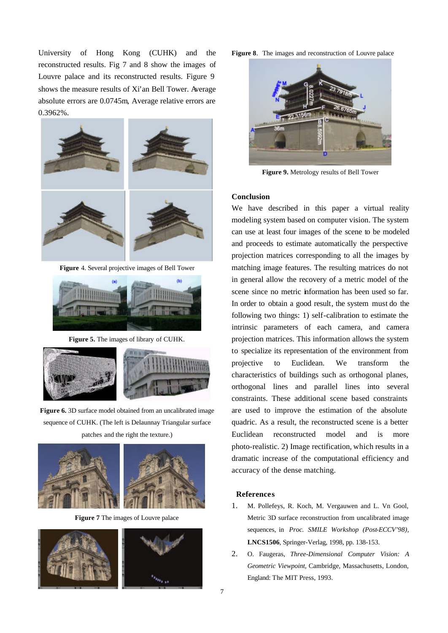University of Hong Kong (CUHK) and the reconstructed results. Fig 7 and 8 show the images of Louvre palace and its reconstructed results. Figure 9 shows the measure results of Xi'an Bell Tower. Average absolute errors are 0.0745m, Average relative errors are 0.3962%.



**Figure** 4. Several projective images of Bell Tower



**Figure 5.** The images of library of CUHK.



**Figure 6.** 3D surface model obtained from an uncalibrated image sequence of CUHK. (The left is Delaunnay Triangular surface patches and the right the texture.)



**Figure 7** The images of Louvre palace



**Figure 8**. The images and reconstruction of Louvre palace



**Figure 9.** Metrology results of Bell Tower

## **Conclusion**

We have described in this paper a virtual reality modeling system based on computer vision. The system can use at least four images of the scene to be modeled and proceeds to estimate automatically the perspective projection matrices corresponding to all the images by matching image features. The resulting matrices do not in general allow the recovery of a metric model of the scene since no metric information has been used so far. In order to obtain a good result, the system must do the following two things: 1) self-calibration to estimate the intrinsic parameters of each camera, and camera projection matrices. This information allows the system to specialize its representation of the environment from projective to Euclidean. We transform the characteristics of buildings such as orthogonal planes, orthogonal lines and parallel lines into several constraints. These additional scene based constraints are used to improve the estimation of the absolute quadric. As a result, the reconstructed scene is a better Euclidean reconstructed model and is more photo-realistic. 2) Image rectification, which results in a dramatic increase of the computational efficiency and accuracy of the dense matching.

#### **References**

- 1. M. Pollefeys, R. Koch, M. Vergauwen and L. Vn Gool, Metric 3D surface reconstruction from uncalibrated image sequences, in *Proc. SMILE Workshop (Post-ECCV'98),*  **LNCS1506**, Springer-Verlag, 1998, pp. 138-153.
- 2. O. Faugeras, *Three-Dimensional Computer Vision: A Geometric Viewpoint,* Cambridge, Massachusetts, London, England: The MIT Press, 1993.